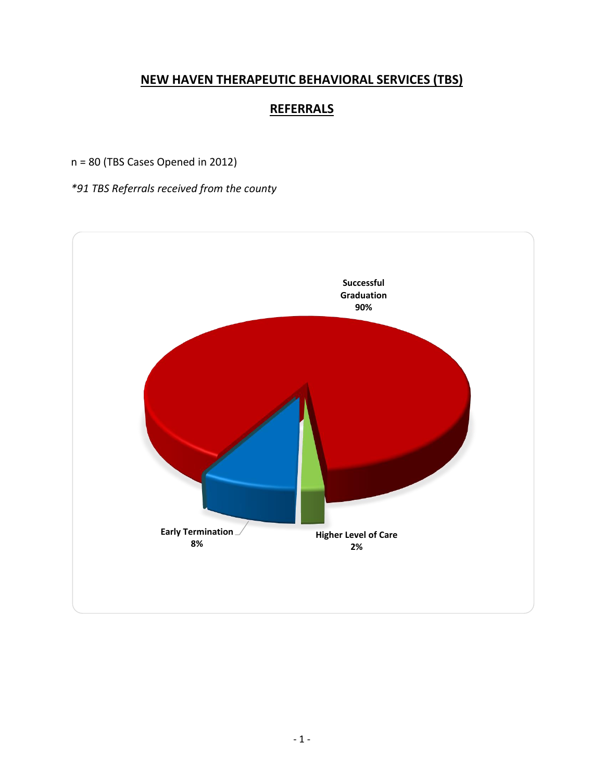# **NEW HAVEN THERAPEUTIC BEHAVIORAL SERVICES (TBS)**

# **REFERRALS**

n = 80 (TBS Cases Opened in 2012)

*\*91 TBS Referrals received from the county*

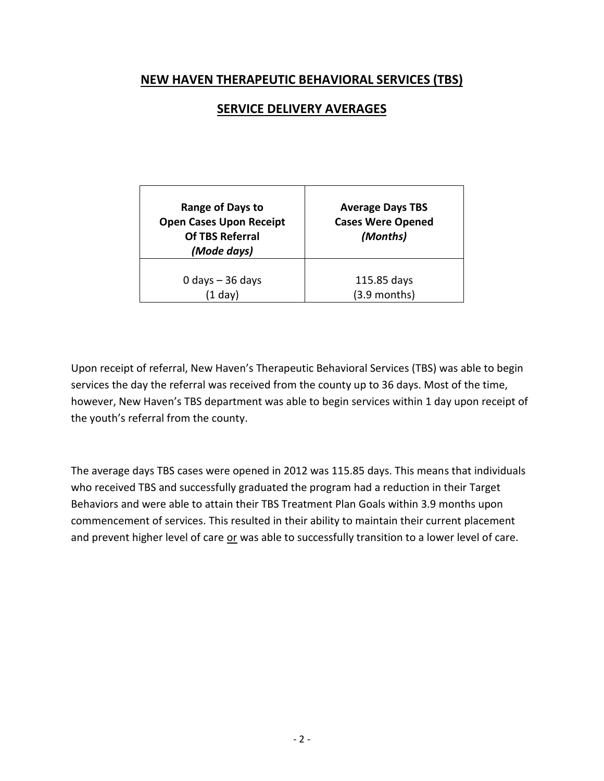## **NEW HAVEN THERAPEUTIC BEHAVIORAL SERVICES (TBS)**

## **SERVICE DELIVERY AVERAGES**

| Range of Days to<br><b>Open Cases Upon Receipt</b><br><b>Of TBS Referral</b><br>(Mode days) | <b>Average Days TBS</b><br><b>Cases Were Opened</b><br>(Months) |  |  |
|---------------------------------------------------------------------------------------------|-----------------------------------------------------------------|--|--|
| 0 days $-36$ days                                                                           | 115.85 days                                                     |  |  |
| $(1$ dav)                                                                                   | $(3.9$ months)                                                  |  |  |

Upon receipt of referral, New Haven's Therapeutic Behavioral Services (TBS) was able to begin services the day the referral was received from the county up to 36 days. Most of the time, however, New Haven's TBS department was able to begin services within 1 day upon receipt of the youth's referral from the county.

The average days TBS cases were opened in 2012 was 115.85 days. This means that individuals who received TBS and successfully graduated the program had a reduction in their Target Behaviors and were able to attain their TBS Treatment Plan Goals within 3.9 months upon commencement of services. This resulted in their ability to maintain their current placement and prevent higher level of care or was able to successfully transition to a lower level of care.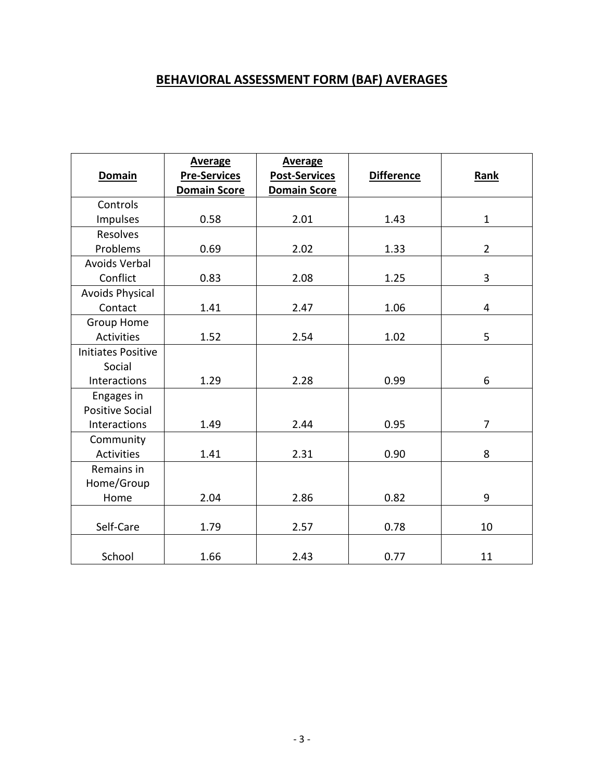## **BEHAVIORAL ASSESSMENT FORM (BAF) AVERAGES**

| <b>Domain</b>             | <b>Average</b><br><b>Pre-Services</b><br><b>Domain Score</b> | <b>Average</b><br><b>Post-Services</b><br><b>Domain Score</b> | <b>Difference</b> | Rank           |
|---------------------------|--------------------------------------------------------------|---------------------------------------------------------------|-------------------|----------------|
| Controls                  |                                                              |                                                               |                   |                |
| Impulses                  | 0.58                                                         | 2.01                                                          | 1.43              | $\mathbf{1}$   |
| Resolves                  |                                                              |                                                               |                   |                |
| Problems                  | 0.69                                                         | 2.02                                                          | 1.33              | $\overline{2}$ |
| <b>Avoids Verbal</b>      |                                                              |                                                               |                   |                |
| Conflict                  | 0.83                                                         | 2.08                                                          | 1.25              | 3              |
| <b>Avoids Physical</b>    |                                                              |                                                               |                   |                |
| Contact                   | 1.41                                                         | 2.47                                                          | 1.06              | 4              |
| Group Home                |                                                              |                                                               |                   |                |
| Activities                | 1.52                                                         | 2.54                                                          | 1.02              | 5              |
| <b>Initiates Positive</b> |                                                              |                                                               |                   |                |
| Social                    |                                                              |                                                               |                   |                |
| Interactions              | 1.29                                                         | 2.28                                                          | 0.99              | 6              |
| Engages in                |                                                              |                                                               |                   |                |
| <b>Positive Social</b>    |                                                              |                                                               |                   |                |
| Interactions              | 1.49                                                         | 2.44                                                          | 0.95              | $\overline{7}$ |
| Community                 |                                                              |                                                               |                   |                |
| <b>Activities</b>         | 1.41                                                         | 2.31                                                          | 0.90              | 8              |
| Remains in                |                                                              |                                                               |                   |                |
| Home/Group                |                                                              |                                                               |                   |                |
| Home                      | 2.04                                                         | 2.86                                                          | 0.82              | 9              |
|                           |                                                              |                                                               |                   |                |
| Self-Care                 | 1.79                                                         | 2.57                                                          | 0.78              | 10             |
| School                    | 1.66                                                         | 2.43                                                          | 0.77              | 11             |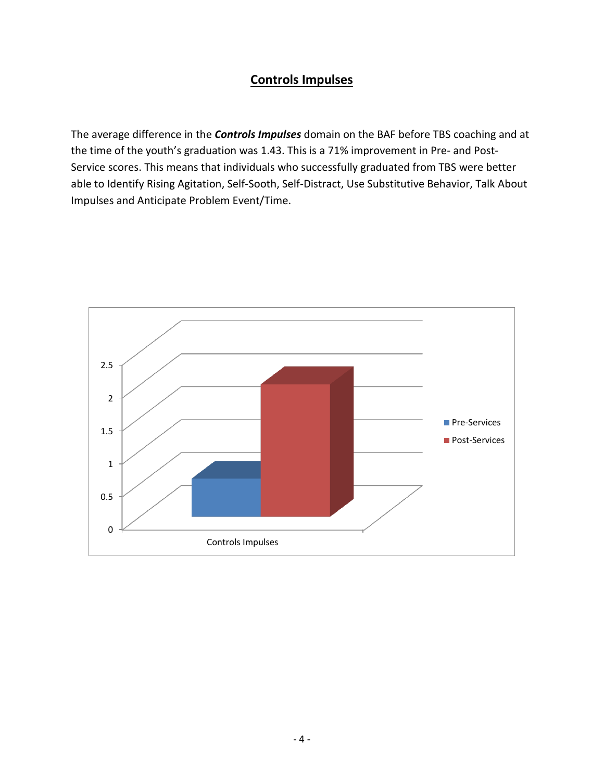## **Controls Impulses**

The average difference in the *Controls Impulses* domain on the BAF before TBS coaching and at the time of the youth's graduation was 1.43. This is a 71% improvement in Pre- and Post-Service scores. This means that individuals who successfully graduated from TBS were better able to Identify Rising Agitation, Self-Sooth, Self-Distract, Use Substitutive Behavior, Talk About Impulses and Anticipate Problem Event/Time.

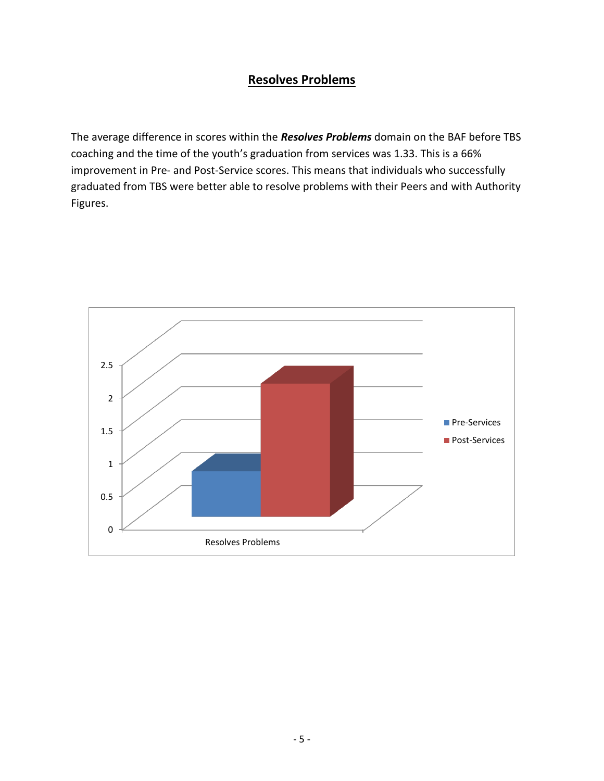## **Resolves Problems**

The average difference in scores within the *Resolves Problems* domain on the BAF before TBS coaching and the time of the youth's graduation from services was 1.33. This is a 66% improvement in Pre- and Post-Service scores. This means that individuals who successfully graduated from TBS were better able to resolve problems with their Peers and with Authority Figures.

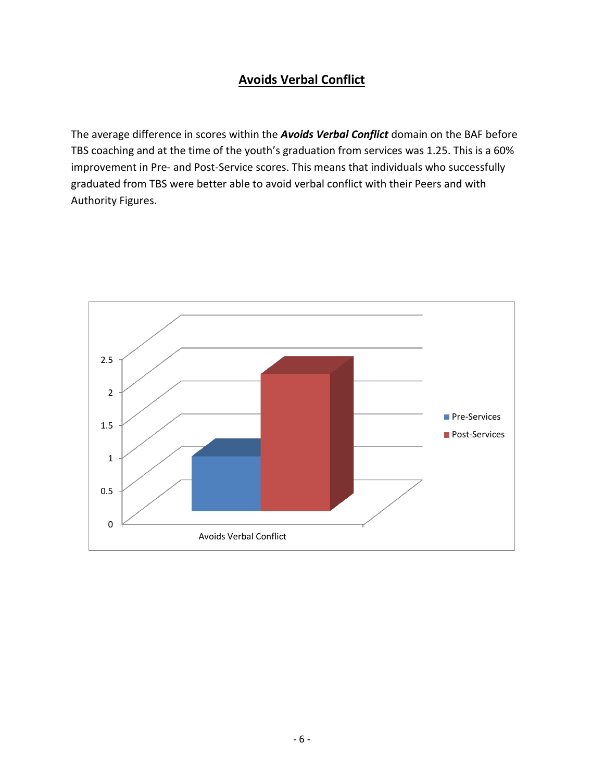# **Avoids Verbal Conflict**

The average difference in scores within the *Avoids Verbal Conflict* domain on the BAF before TBS coaching and at the time of the youth's graduation from services was 1.25. This is a 60% improvement in Pre- and Post-Service scores. This means that individuals who successfully graduated from TBS were better able to avoid verbal conflict with their Peers and with Authority Figures.

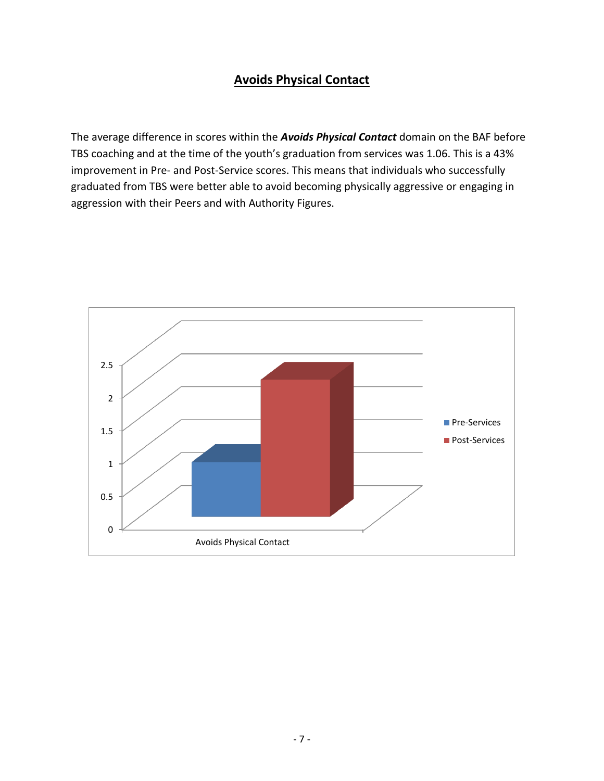## **Avoids Physical Contact**

The average difference in scores within the *Avoids Physical Contact* domain on the BAF before TBS coaching and at the time of the youth's graduation from services was 1.06. This is a 43% improvement in Pre- and Post-Service scores. This means that individuals who successfully graduated from TBS were better able to avoid becoming physically aggressive or engaging in aggression with their Peers and with Authority Figures.

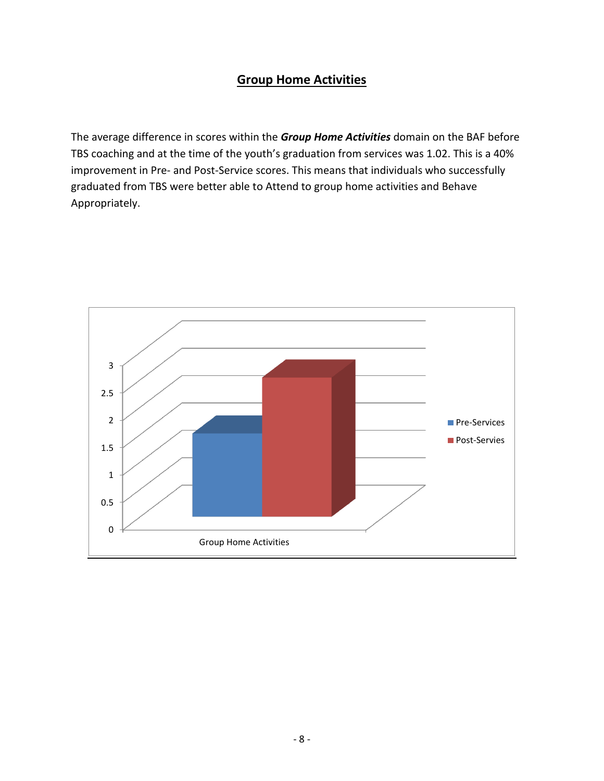#### **Group Home Activities**

The average difference in scores within the *Group Home Activities* domain on the BAF before TBS coaching and at the time of the youth's graduation from services was 1.02. This is a 40% improvement in Pre- and Post-Service scores. This means that individuals who successfully graduated from TBS were better able to Attend to group home activities and Behave Appropriately.

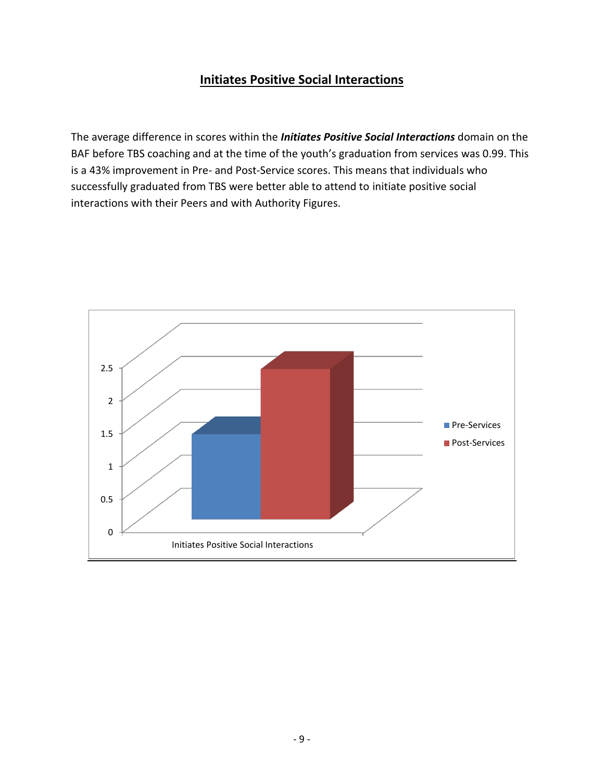## **Initiates Positive Social Interactions**

The average difference in scores within the *Initiates Positive Social Interactions* domain on the BAF before TBS coaching and at the time of the youth's graduation from services was 0.99. This is a 43% improvement in Pre- and Post-Service scores. This means that individuals who successfully graduated from TBS were better able to attend to initiate positive social interactions with their Peers and with Authority Figures.

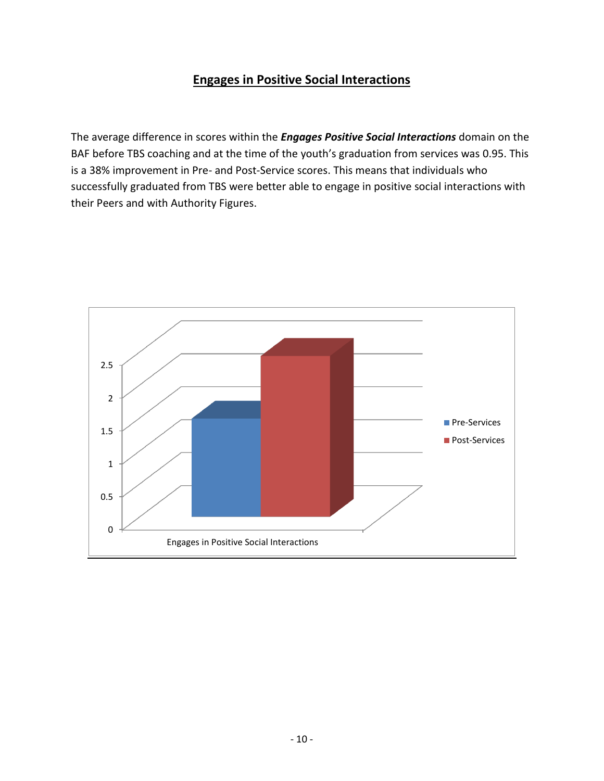# **Engages in Positive Social Interactions**

The average difference in scores within the *Engages Positive Social Interactions* domain on the BAF before TBS coaching and at the time of the youth's graduation from services was 0.95. This is a 38% improvement in Pre- and Post-Service scores. This means that individuals who successfully graduated from TBS were better able to engage in positive social interactions with their Peers and with Authority Figures.

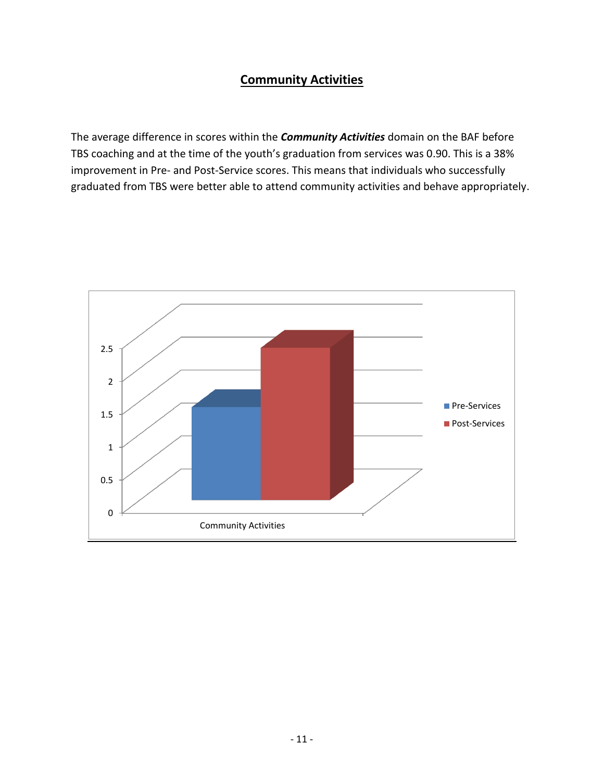## **Community Activities**

The average difference in scores within the *Community Activities* domain on the BAF before TBS coaching and at the time of the youth's graduation from services was 0.90. This is a 38% improvement in Pre- and Post-Service scores. This means that individuals who successfully graduated from TBS were better able to attend community activities and behave appropriately.

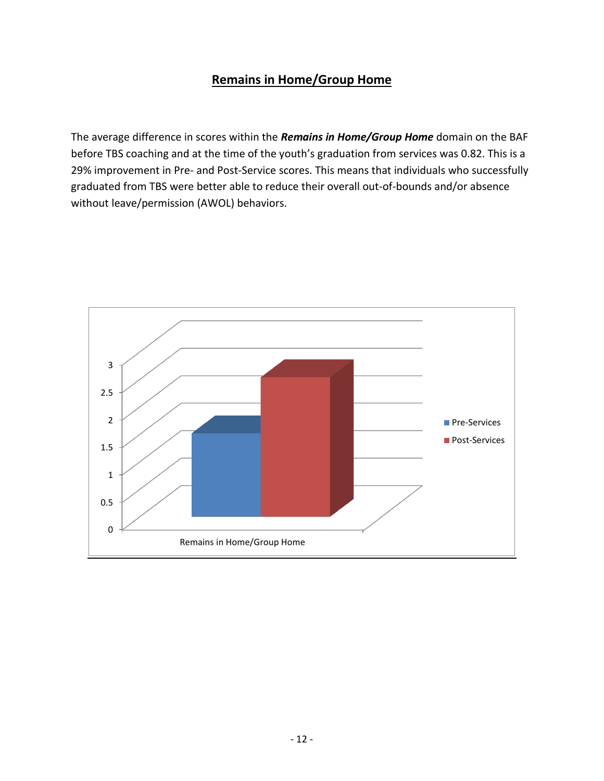## **Remains in Home/Group Home**

The average difference in scores within the *Remains in Home/Group Home* domain on the BAF before TBS coaching and at the time of the youth's graduation from services was 0.82. This is a 29% improvement in Pre- and Post-Service scores. This means that individuals who successfully graduated from TBS were better able to reduce their overall out-of-bounds and/or absence without leave/permission (AWOL) behaviors.

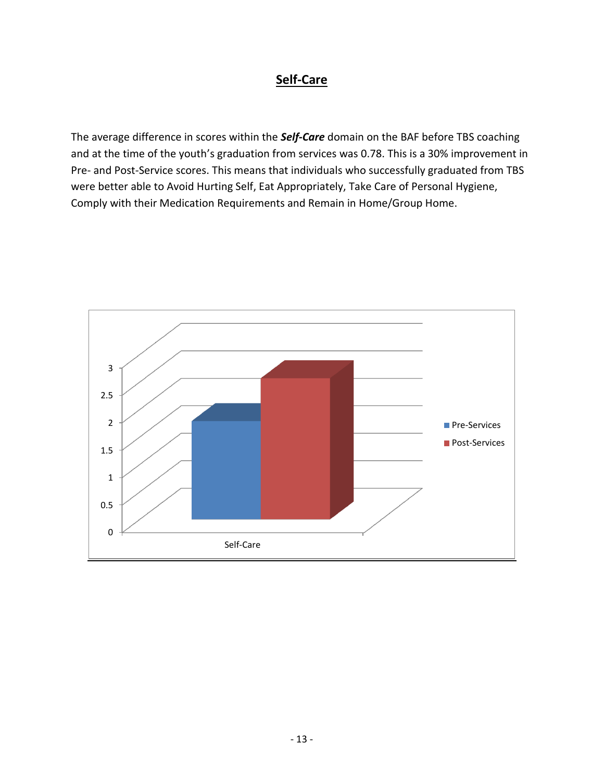## **Self-Care**

The average difference in scores within the *Self-Care* domain on the BAF before TBS coaching and at the time of the youth's graduation from services was 0.78. This is a 30% improvement in Pre- and Post-Service scores. This means that individuals who successfully graduated from TBS were better able to Avoid Hurting Self, Eat Appropriately, Take Care of Personal Hygiene, Comply with their Medication Requirements and Remain in Home/Group Home.